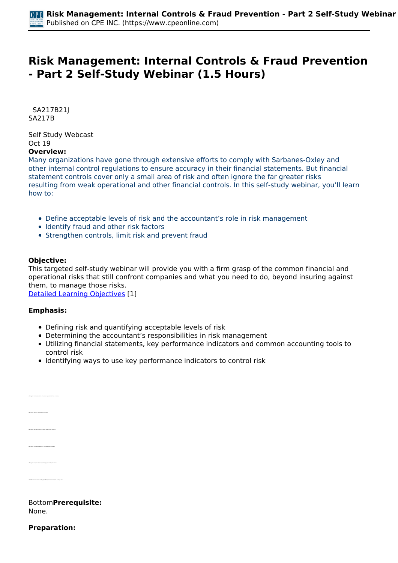# **Risk Management: Internal Controls & Fraud Prevention - Part 2 Self-Study Webinar (1.5 Hours)**

 *SA217B21J SA217B* 

*Self Study Webcast Oct 19*  **Overview:** 

#### *Many organizations have gone through extensive efforts to comply with Sarbanes-Oxley and other internal control regulations to ensure accuracy in their financial statements. But financial statement controls cover only a small area of risk and often ignore the far greater risks resulting from weak operational and other financial controls. In this self-study webinar, you'll learn how to:*

- *Define acceptable levels of risk and the accountant's role in risk management*
- *Identify fraud and other risk factors*
- *Strengthen controls, limit risk and prevent fraud*

## **Objective:**

*This targeted self-study webinar will provide you with a firm grasp of the common financial and operational risks that still confront companies and what you need to do, beyond insuring against them, to manage those risks.*

*[Detailed Learning Objectives](https://www.cpeonline.com/JavaScript:showObjectivesPopup();) [1]*

#### **Emphasis:**

*• Recognize the characteristics all business cyber-attacks have in common*

*• Recognize the role of insurance in risk management programs*

- *Defining risk and quantifying acceptable levels of risk*
- *Determining the accountant's responsibilities in risk management*
- *Utilizing financial statements, key performance indicators and common accounting tools to control risk*
- *Identifying ways to use key performance indicators to control risk*

| BottomPrerequisite: |  |
|---------------------|--|
| None.               |  |

**Preparation:**